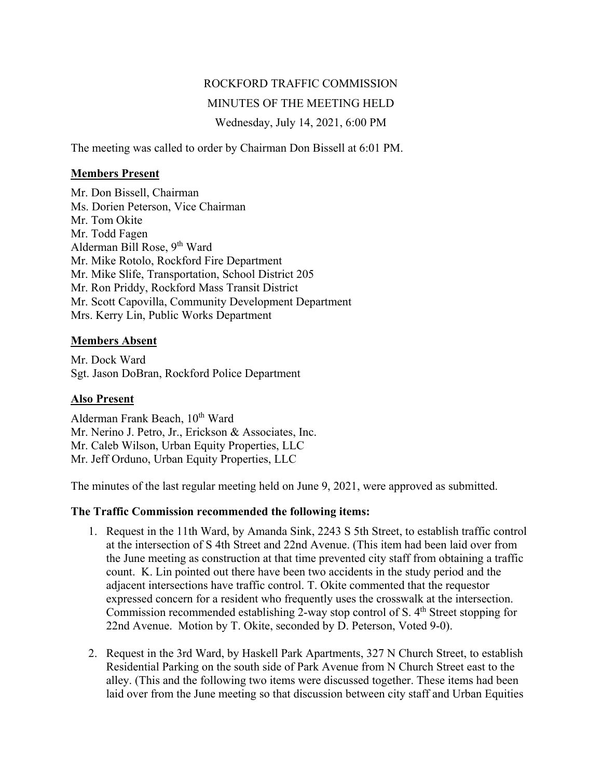# ROCKFORD TRAFFIC COMMISSION MINUTES OF THE MEETING HELD Wednesday, July 14, 2021, 6:00 PM

The meeting was called to order by Chairman Don Bissell at 6:01 PM.

#### **Members Present**

Mr. Don Bissell, Chairman Ms. Dorien Peterson, Vice Chairman Mr. Tom Okite Mr. Todd Fagen Alderman Bill Rose, 9<sup>th</sup> Ward Mr. Mike Rotolo, Rockford Fire Department Mr. Mike Slife, Transportation, School District 205 Mr. Ron Priddy, Rockford Mass Transit District Mr. Scott Capovilla, Community Development Department Mrs. Kerry Lin, Public Works Department

# **Members Absent**

Mr. Dock Ward Sgt. Jason DoBran, Rockford Police Department

# **Also Present**

Alderman Frank Beach,  $10^{th}$  Ward Mr. Nerino J. Petro, Jr., Erickson & Associates, Inc. Mr. Caleb Wilson, Urban Equity Properties, LLC Mr. Jeff Orduno, Urban Equity Properties, LLC

The minutes of the last regular meeting held on June 9, 2021, were approved as submitted.

# **The Traffic Commission recommended the following items:**

- 1. Request in the 11th Ward, by Amanda Sink, 2243 S 5th Street, to establish traffic control at the intersection of S 4th Street and 22nd Avenue. (This item had been laid over from the June meeting as construction at that time prevented city staff from obtaining a traffic count. K. Lin pointed out there have been two accidents in the study period and the adjacent intersections have traffic control. T. Okite commented that the requestor expressed concern for a resident who frequently uses the crosswalk at the intersection. Commission recommended establishing 2-way stop control of S.  $4<sup>th</sup>$  Street stopping for 22nd Avenue. Motion by T. Okite, seconded by D. Peterson, Voted 9-0).
- 2. Request in the 3rd Ward, by Haskell Park Apartments, 327 N Church Street, to establish Residential Parking on the south side of Park Avenue from N Church Street east to the alley. (This and the following two items were discussed together. These items had been laid over from the June meeting so that discussion between city staff and Urban Equities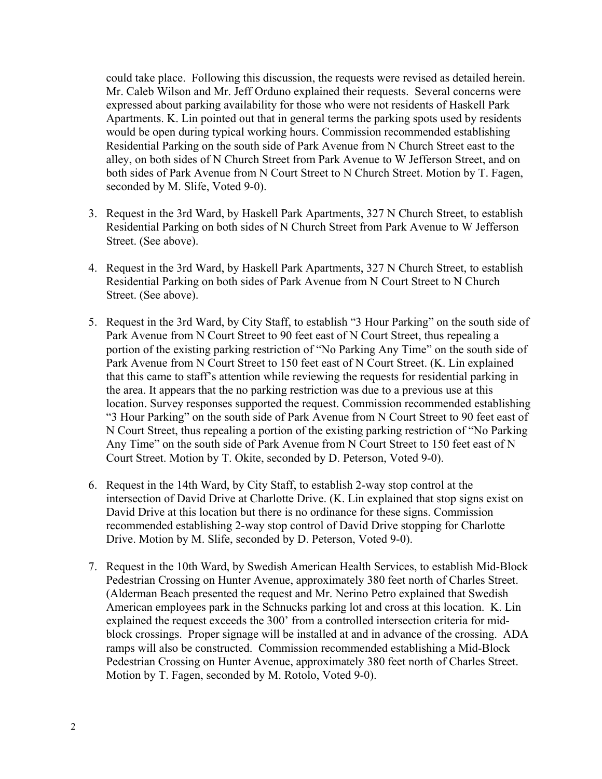could take place. Following this discussion, the requests were revised as detailed herein. Mr. Caleb Wilson and Mr. Jeff Orduno explained their requests. Several concerns were expressed about parking availability for those who were not residents of Haskell Park Apartments. K. Lin pointed out that in general terms the parking spots used by residents would be open during typical working hours. Commission recommended establishing Residential Parking on the south side of Park Avenue from N Church Street east to the alley, on both sides of N Church Street from Park Avenue to W Jefferson Street, and on both sides of Park Avenue from N Court Street to N Church Street. Motion by T. Fagen, seconded by M. Slife, Voted 9-0).

- 3. Request in the 3rd Ward, by Haskell Park Apartments, 327 N Church Street, to establish Residential Parking on both sides of N Church Street from Park Avenue to W Jefferson Street. (See above).
- 4. Request in the 3rd Ward, by Haskell Park Apartments, 327 N Church Street, to establish Residential Parking on both sides of Park Avenue from N Court Street to N Church Street. (See above).
- 5. Request in the 3rd Ward, by City Staff, to establish "3 Hour Parking" on the south side of Park Avenue from N Court Street to 90 feet east of N Court Street, thus repealing a portion of the existing parking restriction of "No Parking Any Time" on the south side of Park Avenue from N Court Street to 150 feet east of N Court Street. (K. Lin explained that this came to staff's attention while reviewing the requests for residential parking in the area. It appears that the no parking restriction was due to a previous use at this location. Survey responses supported the request. Commission recommended establishing "3 Hour Parking" on the south side of Park Avenue from N Court Street to 90 feet east of N Court Street, thus repealing a portion of the existing parking restriction of "No Parking Any Time" on the south side of Park Avenue from N Court Street to 150 feet east of N Court Street. Motion by T. Okite, seconded by D. Peterson, Voted 9-0).
- 6. Request in the 14th Ward, by City Staff, to establish 2-way stop control at the intersection of David Drive at Charlotte Drive. (K. Lin explained that stop signs exist on David Drive at this location but there is no ordinance for these signs. Commission recommended establishing 2-way stop control of David Drive stopping for Charlotte Drive. Motion by M. Slife, seconded by D. Peterson, Voted 9-0).
- 7. Request in the 10th Ward, by Swedish American Health Services, to establish Mid-Block Pedestrian Crossing on Hunter Avenue, approximately 380 feet north of Charles Street. (Alderman Beach presented the request and Mr. Nerino Petro explained that Swedish American employees park in the Schnucks parking lot and cross at this location. K. Lin explained the request exceeds the 300' from a controlled intersection criteria for midblock crossings. Proper signage will be installed at and in advance of the crossing. ADA ramps will also be constructed. Commission recommended establishing a Mid-Block Pedestrian Crossing on Hunter Avenue, approximately 380 feet north of Charles Street. Motion by T. Fagen, seconded by M. Rotolo, Voted 9-0).